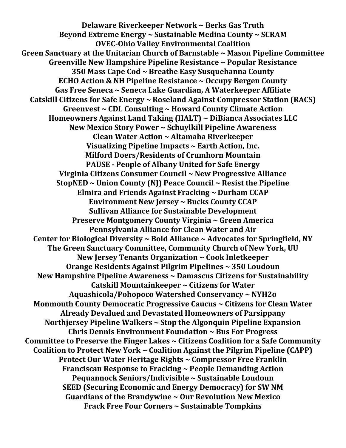**Delaware Riverkeeper Network ~ Berks Gas Truth Beyond Extreme Energy ~ Sustainable Medina County ~ SCRAM OVEC-Ohio Valley Environmental Coalition Green Sanctuary at the Unitarian Church of Barnstable ~ Mason Pipeline Committee Greenville New Hampshire Pipeline Resistance ~ Popular Resistance 350 Mass Cape Cod ~ Breathe Easy Susquehanna County ECHO Action & NH Pipeline Resistance ~ Occupy Bergen County Gas Free Seneca ~ Seneca Lake Guardian, A Waterkeeper Affiliate Catskill Citizens for Safe Energy ~ Roseland Against Compressor Station (RACS) Greenvest ~ CDL Consulting ~ Howard County Climate Action Homeowners Against Land Taking (HALT) ~ DiBianca Associates LLC New Mexico Story Power ~ Schuylkill Pipeline Awareness Clean Water Action ~ Altamaha Riverkeeper Visualizing Pipeline Impacts ~ Earth Action, Inc. Milford Doers/Residents of Crumhorn Mountain PAUSE - People of Albany United for Safe Energy Virginia Citizens Consumer Council ~ New Progressive Alliance StopNED ~ Union County (NJ) Peace Council ~ Resist the Pipeline Elmira and Friends Against Fracking ~ Durham CCAP Environment New Jersey ~ Bucks County CCAP Sullivan Alliance for Sustainable Development Preserve Montgomery County Virginia ~ Green America Pennsylvania Alliance for Clean Water and Air Center for Biological Diversity ~ Bold Alliance ~ Advocates for Springfield, NY The Green Sanctuary Committee, Community Church of New York, UU New Jersey Tenants Organization ~ Cook Inletkeeper Orange Residents Against Pilgrim Pipelines ~ 350 Loudoun New Hampshire Pipeline Awareness ~ Damascus Citizens for Sustainability Catskill Mountainkeeper ~ Citizens for Water Aquashicola/Pohopoco Watershed Conservancy ~ NYH2o Monmouth County Democratic Progressive Caucus ~ Citizens for Clean Water Already Devalued and Devastated Homeowners of Parsippany Northjersey Pipeline Walkers ~ Stop the Algonquin Pipeline Expansion Chris Dennis Environment Foundation ~ Bus For Progress Committee to Preserve the Finger Lakes ~ Citizens Coalition for a Safe Community Coalition to Protect New York ~ Coalition Against the Pilgrim Pipeline (CAPP) Protect Our Water Heritage Rights ~ Compressor Free Franklin Franciscan Response to Fracking ~ People Demanding Action Pequannock Seniors/Indivisible ~ Sustainable Loudoun SEED (Securing Economic and Energy Democracy) for SW NM Guardians of the Brandywine ~ Our Revolution New Mexico Frack Free Four Corners ~ Sustainable Tompkins**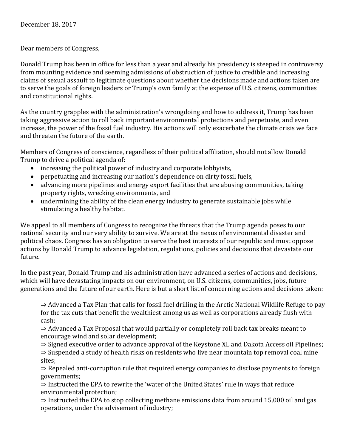Dear members of Congress,

Donald Trump has been in office for less than a year and already his presidency is steeped in controversy from mounting evidence and seeming admissions of obstruction of justice to credible and increasing claims of sexual assault to legitimate questions about whether the decisions made and actions taken are to serve the goals of foreign leaders or Trump's own family at the expense of U.S. citizens, communities and constitutional rights.

As the country grapples with the administration's wrongdoing and how to address it, Trump has been taking aggressive action to roll back important environmental protections and perpetuate, and even increase, the power of the fossil fuel industry. His actions will only exacerbate the climate crisis we face and threaten the future of the earth.

Members of Congress of conscience, regardless of their political affiliation, should not allow Donald Trump to drive a political agenda of:

- increasing the political power of industry and corporate lobbyists,
- perpetuating and increasing our nation's dependence on dirty fossil fuels,
- advancing more pipelines and energy export facilities that are abusing communities, taking property rights, wrecking environments, and
- undermining the ability of the clean energy industry to generate sustainable jobs while stimulating a healthy habitat.

We appeal to all members of Congress to recognize the threats that the Trump agenda poses to our national security and our very ability to survive. We are at the nexus of environmental disaster and political chaos. Congress has an obligation to serve the best interests of our republic and must oppose actions by Donald Trump to advance legislation, regulations, policies and decisions that devastate our future.

In the past year, Donald Trump and his administration have advanced a series of actions and decisions, which will have devastating impacts on our environment, on U.S. citizens, communities, jobs, future generations and the future of our earth. Here is but a short list of concerning actions and decisions taken:

⇒ Advanced a Tax Plan that calls for fossil fuel drilling in the Arctic National Wildlife Refuge to pay for the tax cuts that benefit the wealthiest among us as well as corporations already flush with cash;

⇒ Advanced a Tax Proposal that would partially or completely roll back tax breaks meant to encourage wind and solar development;

⇒ Signed executive order to advance approval of the Keystone XL and Dakota Access oil Pipelines;

⇒ Suspended a study of health risks on residents who live near mountain top removal coal mine sites;

⇒ Repealed anti-corruption rule that required energy companies to disclose payments to foreign governments;

⇒ Instructed the EPA to rewrite the 'water of the United States' rule in ways that reduce environmental protection;

 $\Rightarrow$  Instructed the EPA to stop collecting methane emissions data from around 15,000 oil and gas operations, under the advisement of industry;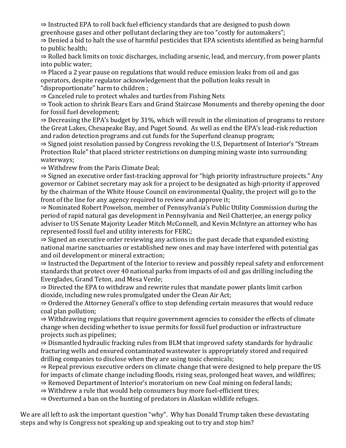⇒ Instructed EPA to roll back fuel efficiency standards that are designed to push down greenhouse gases and other pollutant declaring they are too "costly for automakers";

⇒ Denied a bid to halt the use of harmful pesticides that EPA scientists identified as being harmful to public health;

⇒ Rolled back limits on toxic discharges, including arsenic, lead, and mercury, from power plants into public water;

⇒ Placed a 2 year pause on regulations that would reduce emission leaks from oil and gas operators, despite regulator acknowledgement that the pollution leaks result in "disproportionate" harm to children ;

⇒ Canceled rule to protect whales and turtles from Fishing Nets

⇒ Took action to shrink Bears Ears and Grand Staircase Monuments and thereby opening the door for fossil fuel development;

 $\Rightarrow$  Decreasing the EPA's budget by 31%, which will result in the elimination of programs to restore the Great Lakes, Chesapeake Bay, and Puget Sound. As well as end the EPA's lead-risk reduction and radon detection programs and cut funds for the Superfund cleanup program;

⇒ Signed joint resolution passed by Congress revoking the U.S, Department of Interior's "Stream Protection Rule" that placed stricter restrictions on dumping mining waste into surrounding waterways;

⇒ Withdrew from the Paris Climate Deal;

⇒ Signed an executive order fast-tracking approval for "high priority infrastructure projects." Any governor or Cabinet secretary may ask for a project to be designated as high-priority if approved by the chairman of the White House Council on environmental Quality, the project will go to the front of the line for any agency required to review and approve it;

⇒ Nominated Robert Powelson, member of Pennsylvania's Public Utility Commission during the period of rapid natural gas development in Pennsylvania and Neil Chatterjee, an energy policy adviser to US Senate Majority Leader Mitch McConnell, and Kevin McIntyre an attorney who has represented fossil fuel and utility interests for FERC;

⇒ Signed an executive order reviewing any actions in the past decade that expanded existing national marine sanctuaries or established new ones and may have interfered with potential gas and oil development or mineral extraction;

⇒ Instructed the Department of the Interior to review and possibly repeal safety and enforcement standards that protect over 40 national parks from impacts of oil and gas drilling including the Everglades, Grand Teton, and Mesa Verde;

⇒ Directed the EPA to withdraw and rewrite rules that mandate power plants limit carbon dioxide, including new rules promulgated under the Clean Air Act;

⇒ Ordered the Attorney General's office to stop defending certain measures that would reduce coal plan pollution;

⇒ Withdrawing regulations that require government agencies to consider the effects of climate change when deciding whether to issue permits for fossil fuel production or infrastructure projects such as pipelines;

⇒ Dismantled hydraulic fracking rules from BLM that improved safety standards for hydraulic fracturing wells and ensured contaminated wastewater is appropriately stored and required drilling companies to disclose when they are using toxic chemicals;

⇒ Repeal previous executive orders on climate change that were designed to help prepare the US for impacts of climate change including floods, rising seas, prolonged heat waves, and wildfires;

⇒ Removed Department of Interior's moratorium on new Coal mining on federal lands;

⇒ Withdrew a rule that would help consumers buy more fuel-efficient tires;

 $\Rightarrow$  Overturned a ban on the hunting of predators in Alaskan wildlife refuges.

We are all left to ask the important question "why". Why has Donald Trump taken these devastating steps and why is Congress not speaking up and speaking out to try and stop him?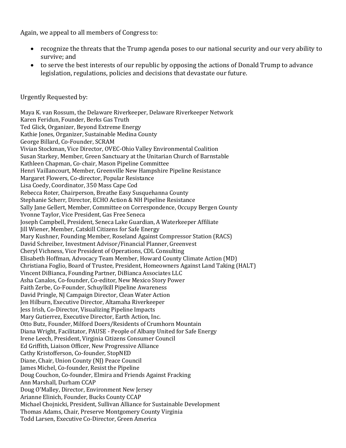Again, we appeal to all members of Congress to:

- recognize the threats that the Trump agenda poses to our national security and our very ability to survive; and
- to serve the best interests of our republic by opposing the actions of Donald Trump to advance legislation, regulations, policies and decisions that devastate our future.

Urgently Requested by:

Maya K. van Rossum, the Delaware Riverkeeper, Delaware Riverkeeper Network Karen Feridun, Founder, Berks Gas Truth Ted Glick, Organizer, Beyond Extreme Energy Kathie Jones, Organizer, Sustainable Medina County George Billard, Co-Founder, SCRAM Vivian Stockman, Vice Director, OVEC-Ohio Valley Environmental Coalition Susan Starkey, Member, Green Sanctuary at the Unitarian Church of Barnstable Kathleen Chapman, Co-chair, Mason Pipeline Committee Henri Vaillancourt, Member, Greenville New Hampshire Pipeline Resistance Margaret Flowers, Co-director, Popular Resistance Lisa Coedy, Coordinator, 350 Mass Cape Cod Rebecca Roter, Chairperson, Breathe Easy Susquehanna County Stephanie Scherr, Director, ECHO Action & NH Pipeline Resistance Sally Jane Gellert, Member, Committee on Correspondence, Occupy Bergen County Yvonne Taylor, Vice President, Gas Free Seneca Joseph Campbell, President, Seneca Lake Guardian, A Waterkeeper Affiliate Jill Wiener, Member, Catskill Citizens for Safe Energy Mary Kushner, Founding Member, Roseland Against Compressor Station (RACS) David Schreiber, Investment Advisor/Financial Planner, Greenvest Cheryl Vichness, Vice President of Operations, CDL Consulting Elisabeth Hoffman, Advocacy Team Member, Howard County Climate Action (MD) Christiana Foglio, Board of Trustee, President, Homeowners Against Land Taking (HALT) Vincent DiBianca, Founding Partner, DiBianca Associates LLC Asha Canalos, Co-founder, Co-editor, New Mexico Story Power Faith Zerbe, Co-Founder, Schuylkill Pipeline Awareness David Pringle, NJ Campaign Director, Clean Water Action Jen Hilburn, Executive Director, Altamaha Riverkeeper Jess Irish, Co-Director, Visualizing Pipeline Impacts Mary Gutierrez, Executive Director, Earth Action, Inc. Otto Butz, Founder, Milford Doers/Residents of Crumhorn Mountain Diana Wright, Facilitator, PAUSE - People of Albany United for Safe Energy Irene Leech, President, Virginia Citizens Consumer Council Ed Griffith, Liaison Officer, New Progressive Alliance Cathy Kristofferson, Co-founder, StopNED Diane, Chair, Union County (NJ) Peace Council James Michel, Co-founder, Resist the Pipeline Doug Couchon, Co-founder, Elmira and Friends Against Fracking Ann Marshall, Durham CCAP Doug O'Malley, Director, Environment New Jersey Arianne Elinich, Founder, Bucks County CCAP Michael Chojnicki, President, Sullivan Alliance for Sustainable Development Thomas Adams, Chair, Preserve Montgomery County Virginia Todd Larsen, Executive Co-Director, Green America